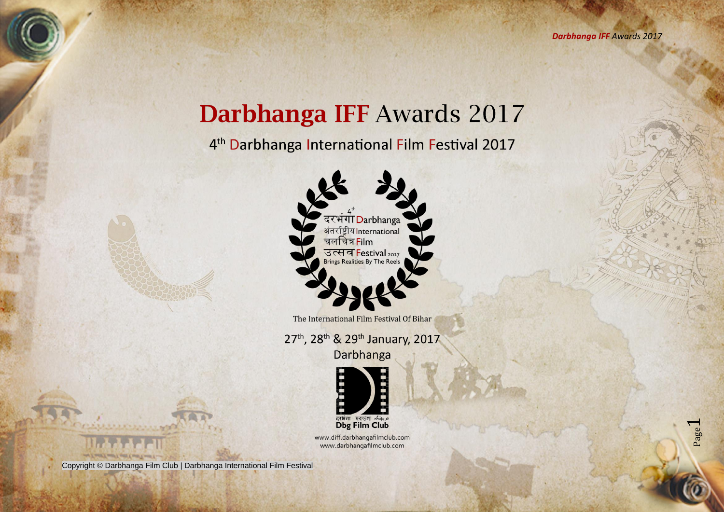## Darbhanga IFF Awards 2017

4<sup>th</sup> Darbhanga International Film Festival 2017



The International Film Festival Of Bihar

27th, 28th & 29th January, 2017

Darbhanga



www.diff.darbhangafilmclub.com www.darbhangafilmclub.com

Copyright © Darbhanga Film Club | Darbhanga International Film Festival

and I control seem I spen I come I went I .-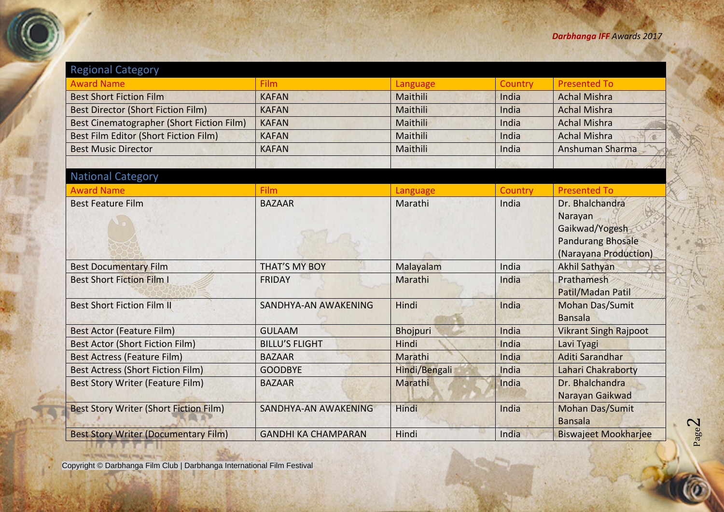| <b>Regional Category</b>                         |                             |                 |         |                                                                                                   |
|--------------------------------------------------|-----------------------------|-----------------|---------|---------------------------------------------------------------------------------------------------|
| <b>Award Name</b>                                | <b>Film</b>                 | Language        | Country | <b>Presented To</b>                                                                               |
| <b>Best Short Fiction Film</b>                   | <b>KAFAN</b>                | Maithili        | India   | <b>Achal Mishra</b>                                                                               |
| <b>Best Director (Short Fiction Film)</b>        | <b>KAFAN</b>                | Maithili        | India   | <b>Achal Mishra</b>                                                                               |
| <b>Best Cinematographer (Short Fiction Film)</b> | <b>KAFAN</b>                | Maithili        | India   | <b>Achal Mishra</b>                                                                               |
| Best Film Editor (Short Fiction Film)            | <b>KAFAN</b>                | Maithili        | India   | <b>Achal Mishra</b>                                                                               |
| <b>Best Music Director</b>                       | <b>KAFAN</b>                | Maithili        | India   | Anshuman Sharma                                                                                   |
|                                                  |                             |                 |         |                                                                                                   |
| <b>National Category</b>                         |                             |                 |         |                                                                                                   |
| <b>Award Name</b>                                | Film                        | Language        | Country | <b>Presented To</b>                                                                               |
| <b>Best Feature Film</b>                         | <b>BAZAAR</b>               | Marathi         | India   | Dr. Bhalchandra<br>Narayan<br>Gaikwad/Yogesh<br><b>Pandurang Bhosale</b><br>(Narayana Production) |
| <b>Best Documentary Film</b>                     | <b>THAT'S MY BOY</b>        | Malayalam       | India   | <b>Akhil Sathyan</b>                                                                              |
| <b>Best Short Fiction Film I</b>                 | <b>FRIDAY</b>               | Marathi         | India   | Prathamesh<br>Patil/Madan Patil                                                                   |
| <b>Best Short Fiction Film II</b>                | SANDHYA-AN AWAKENING        | Hindi           | India   | <b>Mohan Das/Sumit</b><br><b>Bansala</b>                                                          |
| <b>Best Actor (Feature Film)</b>                 | <b>GULAAM</b>               | <b>Bhojpuri</b> | India   | <b>Vikrant Singh Rajpoot</b>                                                                      |
| <b>Best Actor (Short Fiction Film)</b>           | <b>BILLU'S FLIGHT</b>       | Hindi           | India   | Lavi Tyagi                                                                                        |
| <b>Best Actress (Feature Film)</b>               | <b>BAZAAR</b>               | Marathi         | India   | Aditi Sarandhar                                                                                   |
| <b>Best Actress (Short Fiction Film)</b>         | <b>GOODBYE</b>              | Hindi/Bengali   | India   | Lahari Chakraborty                                                                                |
| <b>Best Story Writer (Feature Film)</b>          | <b>BAZAAR</b>               | Marathi         | India   | Dr. Bhalchandra<br>Narayan Gaikwad                                                                |
| <b>Best Story Writer (Short Fiction Film)</b>    | <b>SANDHYA-AN AWAKENING</b> | Hindi           | India   | <b>Mohan Das/Sumit</b><br><b>Bansala</b>                                                          |
| <b>Best Story Writer (Documentary Film)</b>      | <b>GANDHI KA CHAMPARAN</b>  | Hindi           | India   | <b>Biswajeet Mookharjee</b>                                                                       |

Copyright © Darbhanga Film Club | Darbhanga International Film Festival

**ULITADE LA**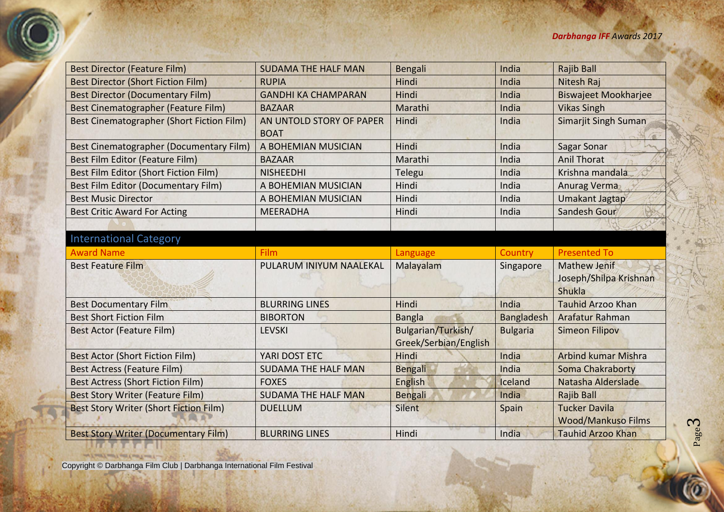| <b>Best Director (Feature Film)</b>            | <b>SUDAMA THE HALF MAN</b>              | Bengali               | India             | <b>Rajib Ball</b>                                       |
|------------------------------------------------|-----------------------------------------|-----------------------|-------------------|---------------------------------------------------------|
| <b>Best Director (Short Fiction Film)</b>      | <b>RUPIA</b>                            | Hindi                 | India             | Nitesh Raj                                              |
| <b>Best Director (Documentary Film)</b>        | <b>GANDHI KA CHAMPARAN</b>              | Hindi                 | India             | <b>Biswajeet Mookharjee</b>                             |
| Best Cinematographer (Feature Film)            | <b>BAZAAR</b>                           | Marathi               | India             | <b>Vikas Singh</b>                                      |
| Best Cinematographer (Short Fiction Film)      | AN UNTOLD STORY OF PAPER<br><b>BOAT</b> | Hindi                 | India             | <b>Simarjit Singh Suman</b>                             |
| <b>Best Cinematographer (Documentary Film)</b> | A BOHEMIAN MUSICIAN                     | Hindi                 | India             | <b>Sagar Sonar</b>                                      |
| Best Film Editor (Feature Film)                | <b>BAZAAR</b>                           | Marathi               | India             | <b>Anil Thorat</b>                                      |
| Best Film Editor (Short Fiction Film)          | <b>NISHEEDHI</b>                        | Telegu                | India             | Krishna mandala                                         |
| <b>Best Film Editor (Documentary Film)</b>     | A BOHEMIAN MUSICIAN                     | Hindi                 | India             | <b>Anurag Verma</b>                                     |
| <b>Best Music Director</b>                     | A BOHEMIAN MUSICIAN                     | Hindi                 | India             | <b>Umakant Jagtap</b>                                   |
| <b>Best Critic Award For Acting</b>            | <b>MEERADHA</b>                         | Hindi                 | India             | <b>Sandesh Gour</b>                                     |
|                                                |                                         |                       |                   |                                                         |
| <b>International Category</b>                  |                                         |                       |                   |                                                         |
| <b>Award Name</b>                              | Film                                    | Language              | Country           | <b>Presented To</b>                                     |
| <b>Best Feature Film</b>                       | PULARUM INIYUM NAALEKAL                 | Malayalam             | Singapore         | <b>Mathew Jenif</b><br>Joseph/Shilpa Krishnan<br>Shukla |
| <b>Best Documentary Film</b>                   | <b>BLURRING LINES</b>                   | Hindi                 | India             | <b>Tauhid Arzoo Khan</b>                                |
| <b>Best Short Fiction Film</b>                 | <b>BIBORTON</b>                         | <b>Bangla</b>         | <b>Bangladesh</b> | Arafatur Rahman                                         |
| <b>Best Actor (Feature Film)</b>               | <b>LEVSKI</b>                           | Bulgarian/Turkish/    | <b>Bulgaria</b>   | <b>Simeon Filipov</b>                                   |
|                                                |                                         | Greek/Serbian/English |                   |                                                         |
| <b>Best Actor (Short Fiction Film)</b>         | YARI DOST ETC                           | Hindi                 | India             | <b>Arbind kumar Mishra</b>                              |
| <b>Best Actress (Feature Film)</b>             | <b>SUDAMA THE HALF MAN</b>              | <b>Bengali</b>        | India             | <b>Soma Chakraborty</b>                                 |
| <b>Best Actress (Short Fiction Film)</b>       | <b>FOXES</b>                            | English               | Iceland           | Natasha Alderslade                                      |
| <b>Best Story Writer (Feature Film)</b>        | <b>SUDAMA THE HALF MAN</b>              | <b>Bengali</b>        | India             | <b>Rajib Ball</b>                                       |
| <b>Best Story Writer (Short Fiction Film)</b>  | <b>DUELLUM</b>                          | <b>Silent</b>         | Spain             | <b>Tucker Davila</b><br><b>Wood/Mankuso Films</b>       |
| <b>Best Story Writer (Documentary Film)</b>    | <b>BLURRING LINES</b>                   | Hindi                 | India             | <b>Tauhid Arzoo Khan</b>                                |